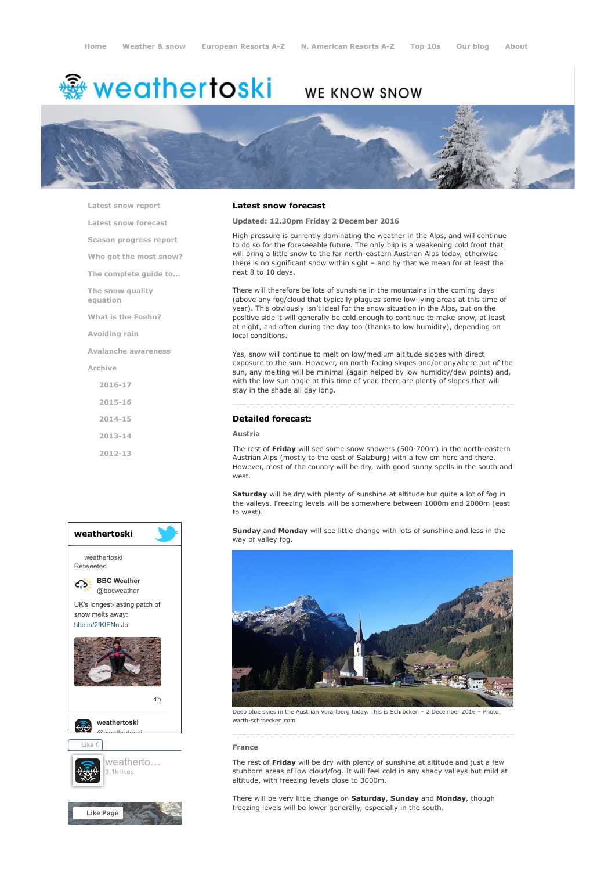# <del>鑾</del> weathertoski

# WE KNOW SNOW



[Latest snow report](https://www.weathertoski.co.uk/weather-snow/latest-snow-report/)

[Latest snow forecast](https://www.weathertoski.co.uk/weather-snow/latest-snow-forecast/)

[Season progress report](https://www.weathertoski.co.uk/weather-snow/season-progress-report/)

[Who got the most snow?](https://www.weathertoski.co.uk/weather-snow/who-got-the-most-snow/)

[The complete guide to...](https://www.weathertoski.co.uk/weather-snow/the-complete-guide-to/)

[The snow quality](https://www.weathertoski.co.uk/weather-snow/the-snow-quality-equation/)

[What is the Foehn?](https://www.weathertoski.co.uk/weather-snow/what-is-the-foehn/)

[Avoiding rain](https://www.weathertoski.co.uk/weather-snow/avoiding-rain/)

equation

[Avalanche awareness](https://www.weathertoski.co.uk/weather-snow/avalanche-awareness/)

[Archive](https://www.weathertoski.co.uk/weather-snow/archive/)

- [2016-17](https://www.weathertoski.co.uk/weather-snow/archive/2016-17/) [2015-16](https://www.weathertoski.co.uk/weather-snow/archive/2015-16/)
- [2014-15](https://www.weathertoski.co.uk/weather-snow/archive/2014-15/)
- [2013-14](https://www.weathertoski.co.uk/weather-snow/archive/2013-14/)

[2012-13](https://www.weathertoski.co.uk/weather-snow/archive/2012-13/)



# Latest snow forecast

Updated: 12.30pm Friday 2 December 2016

High pressure is currently dominating the weather in the Alps, and will continue to do so for the foreseeable future. The only blip is a weakening cold front that will bring a little snow to the far north-eastern Austrian Alps today, otherwise there is no significant snow within sight – and by that we mean for at least the next 8 to 10 days.

There will therefore be lots of sunshine in the mountains in the coming days (above any fog/cloud that typically plagues some low-lying areas at this time of year). This obviously isn't ideal for the snow situation in the Alps, but on the positive side it will generally be cold enough to continue to make snow, at least at night, and often during the day too (thanks to low humidity), depending on local conditions.

Yes, snow will continue to melt on low/medium altitude slopes with direct exposure to the sun. However, on north-facing slopes and/or anywhere out of the sun, any melting will be minimal (again helped by low humidity/dew points) and, with the low sun angle at this time of year, there are plenty of slopes that will stay in the shade all day long.

# Detailed forecast:

## Austria

The rest of Friday will see some snow showers (500-700m) in the north-eastern Austrian Alps (mostly to the east of Salzburg) with a few cm here and there. However, most of the country will be dry, with good sunny spells in the south and west.

Saturday will be dry with plenty of sunshine at altitude but quite a lot of fog in the valleys. Freezing levels will be somewhere between 1000m and 2000m (east to west).

Sunday and Monday will see little change with lots of sunshine and less in the way of valley fog.



Deep blue skies in the Austrian Vorarlberg today. This is Schröcken – 2 December 2016 warth-schroecken.com

#### France

The rest of Friday will be dry with plenty of sunshine at altitude and just a few stubborn areas of low cloud/fog. It will feel cold in any shady valleys but mild at altitude, with freezing levels close to 3000m.

There will be very little change on Saturday, Sunday and Monday, though freezing levels will be lower generally, especially in the south.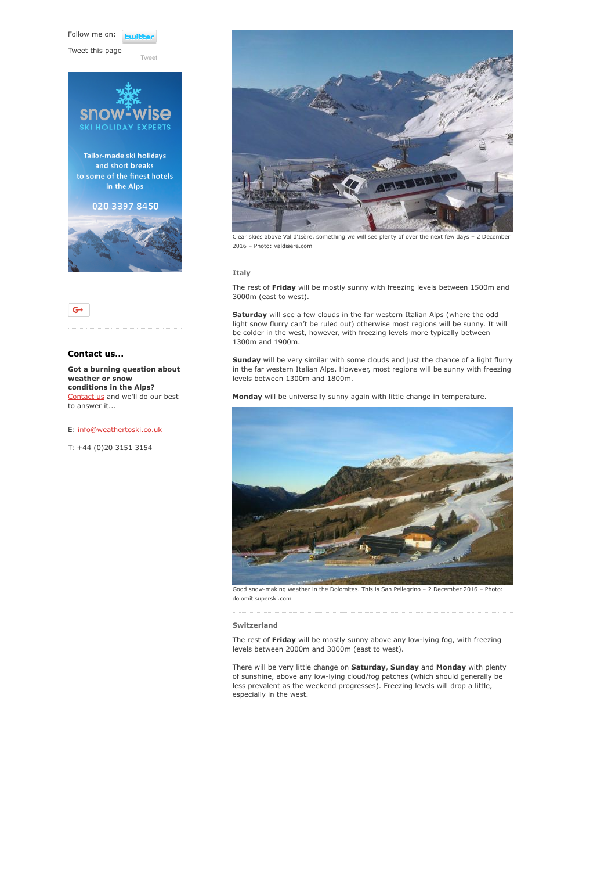Follow me on: **Lwitt** 

[Tweet](https://twitter.com/intent/tweet?original_referer=https%3A%2F%2Fwww.weathertoski.co.uk%2Fweather-snow%2Farchive%2Fsnow-forecast-02-12-2016%2F&ref_src=twsrc%5Etfw&text=Weather%20to%20ski%20-%20Snow%20forecast%20-%202%20December%202016&tw_p=tweetbutton&url=https%3A%2F%2Fwww.weathertoski.co.uk%2Fweather-snow%2Farchive%2Fsnow-forecast-02-12-2016%2F)

Tweet this page





# Contact us...

Got a burning question about weather or snow conditions in the Alps? [Contact us](https://www.weathertoski.co.uk/about-1/contact-us/) and we'll do our best to answer it...

E: [info@weathertoski.co.uk](mailto:fraser@weathertoski.co.uk)

T: +44 (0)20 3151 3154



Clear skies above Val d'Isère, something we will see plenty of over the next few days – 2 December 2016 – Photo: valdisere.com

## Italy

The rest of Friday will be mostly sunny with freezing levels between 1500m and 3000m (east to west).

Saturday will see a few clouds in the far western Italian Alps (where the odd light snow flurry can't be ruled out) otherwise most regions will be sunny. It will be colder in the west, however, with freezing levels more typically between 1300m and 1900m.

Sunday will be very similar with some clouds and just the chance of a light flurry in the far western Italian Alps. However, most regions will be sunny with freezing levels between 1300m and 1800m.

Monday will be universally sunny again with little change in temperature.



Good snow-making weather in the Dolomites. This is San Pellegrino – 2 December 2016 – Photo: dolomitisuperski.com

#### Switzerland

The rest of Friday will be mostly sunny above any low-lying fog, with freezing levels between 2000m and 3000m (east to west).

There will be very little change on Saturday, Sunday and Monday with plenty of sunshine, above any low-lying cloud/fog patches (which should generally be less prevalent as the weekend progresses). Freezing levels will drop a little, especially in the west.